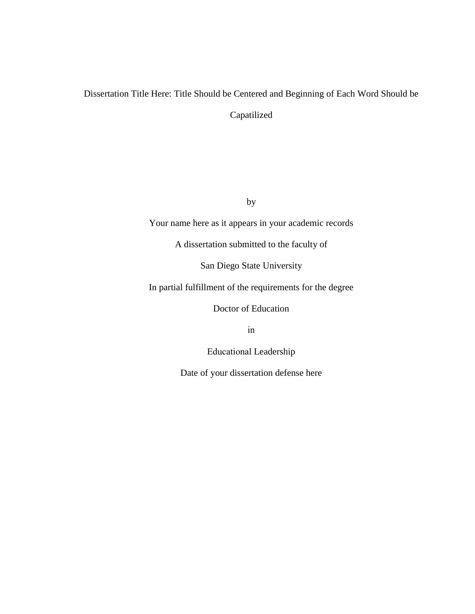# Dissertation Title Here: Title Should be Centered and Beginning of Each Word Should be Capatilized

by

Your name here as it appears in your academic records

A dissertation submitted to the faculty of

San Diego State University

In partial fulfillment of the requirements for the degree

Doctor of Education

in

Educational Leadership

Date of your dissertation defense here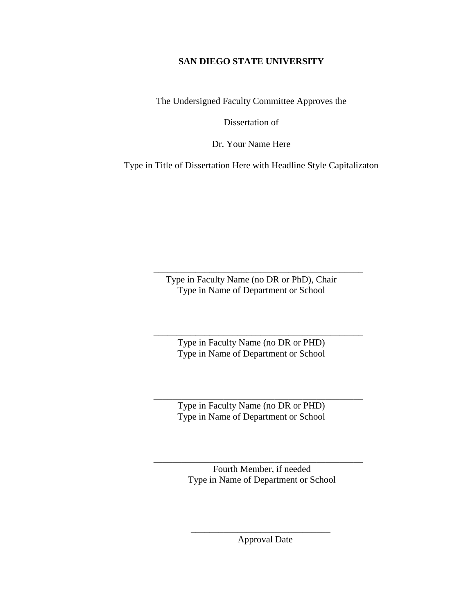## **SAN DIEGO STATE UNIVERSITY**

The Undersigned Faculty Committee Approves the

Dissertation of

Dr. Your Name Here

Type in Title of Dissertation Here with Headline Style Capitalizaton

Type in Faculty Name (no DR or PhD), Chair Type in Name of Department or School

\_\_\_\_\_\_\_\_\_\_\_\_\_\_\_\_\_\_\_\_\_\_\_\_\_\_\_\_\_\_\_\_\_\_\_\_\_\_\_\_\_\_\_\_\_

Type in Faculty Name (no DR or PHD) Type in Name of Department or School

\_\_\_\_\_\_\_\_\_\_\_\_\_\_\_\_\_\_\_\_\_\_\_\_\_\_\_\_\_\_\_\_\_\_\_\_\_\_\_\_\_\_\_\_\_

Type in Faculty Name (no DR or PHD) Type in Name of Department or School

\_\_\_\_\_\_\_\_\_\_\_\_\_\_\_\_\_\_\_\_\_\_\_\_\_\_\_\_\_\_\_\_\_\_\_\_\_\_\_\_\_\_\_\_\_

Fourth Member, if needed Type in Name of Department or School

\_\_\_\_\_\_\_\_\_\_\_\_\_\_\_\_\_\_\_\_\_\_\_\_\_\_\_\_\_\_\_\_\_\_\_\_\_\_\_\_\_\_\_\_\_

\_\_\_\_\_\_\_\_\_\_\_\_\_\_\_\_\_\_\_\_\_\_\_\_\_\_\_\_\_\_ Approval Date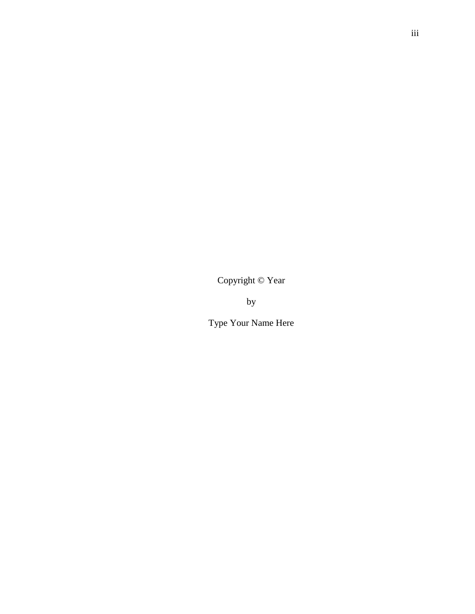Copyright © Year

by

Type Your Name Here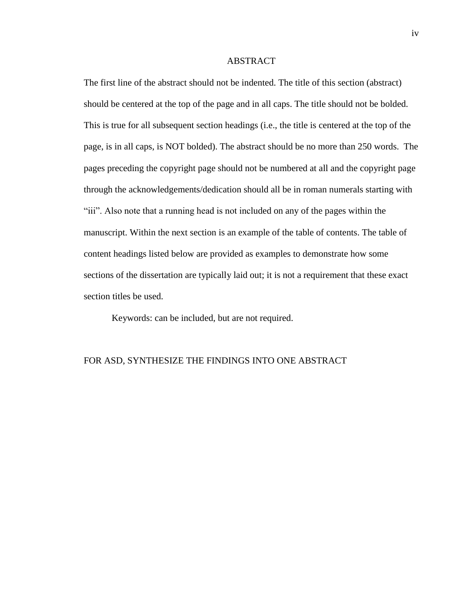## ABSTRACT

The first line of the abstract should not be indented. The title of this section (abstract) should be centered at the top of the page and in all caps. The title should not be bolded. This is true for all subsequent section headings (i.e., the title is centered at the top of the page, is in all caps, is NOT bolded). The abstract should be no more than 250 words. The pages preceding the copyright page should not be numbered at all and the copyright page through the acknowledgements/dedication should all be in roman numerals starting with "iii". Also note that a running head is not included on any of the pages within the manuscript. Within the next section is an example of the table of contents. The table of content headings listed below are provided as examples to demonstrate how some sections of the dissertation are typically laid out; it is not a requirement that these exact section titles be used.

Keywords: can be included, but are not required.

## FOR ASD, SYNTHESIZE THE FINDINGS INTO ONE ABSTRACT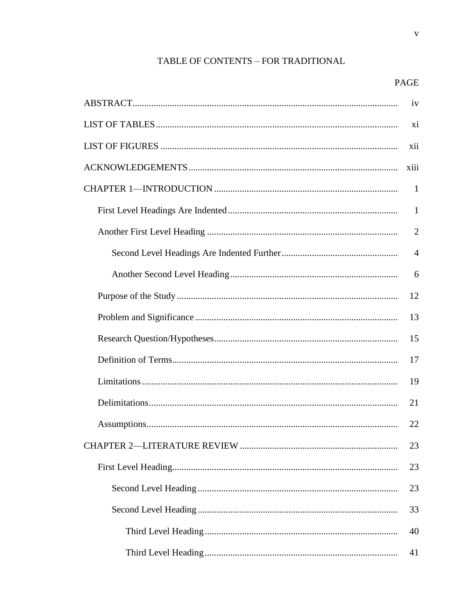# TABLE OF CONTENTS - FOR TRADITIONAL

| iv             |
|----------------|
| xi             |
| xii            |
| xiii           |
| $\mathbf{1}$   |
| $\mathbf{1}$   |
| $\overline{2}$ |
| $\overline{4}$ |
| 6              |
| 12             |
| 13             |
| 15             |
| 17             |
| 19             |
| 21             |
| 22             |
| 23             |
| 23             |
| 23             |
| 33             |
| 40             |
| 41             |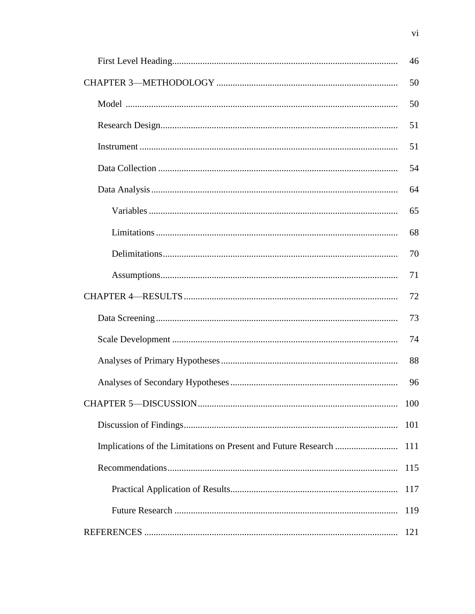| 46  |
|-----|
| 50  |
| 50  |
| 51  |
| 51  |
| 54  |
| 64  |
| 65  |
| 68  |
| 70  |
| 71  |
| 72  |
| 73  |
| 74  |
| 88  |
| 96  |
| 100 |
| 101 |
| 111 |
| 115 |
| 117 |
| 119 |
| 121 |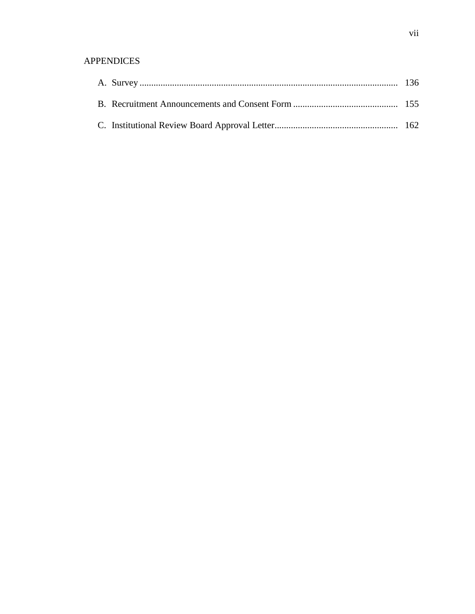# APPENDICES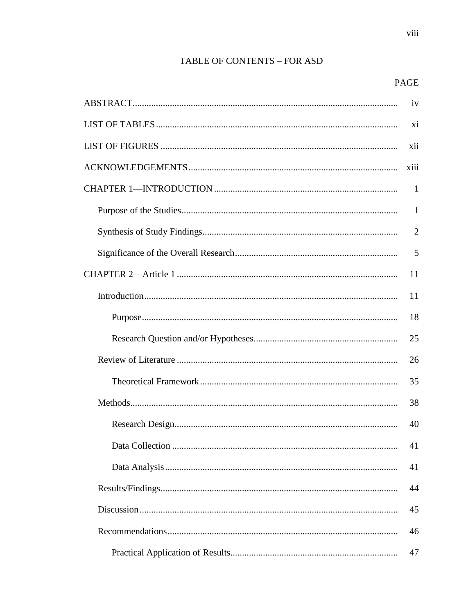# TABLE OF CONTENTS - FOR ASD

viii

|  | iv             |  |  |  |  |
|--|----------------|--|--|--|--|
|  |                |  |  |  |  |
|  |                |  |  |  |  |
|  | xiii           |  |  |  |  |
|  | $\mathbf{1}$   |  |  |  |  |
|  | 1              |  |  |  |  |
|  | $\overline{2}$ |  |  |  |  |
|  | 5              |  |  |  |  |
|  | 11             |  |  |  |  |
|  | 11             |  |  |  |  |
|  | 18             |  |  |  |  |
|  | 25             |  |  |  |  |
|  | 26             |  |  |  |  |
|  | 35             |  |  |  |  |
|  | 38             |  |  |  |  |
|  | 40             |  |  |  |  |
|  | 41             |  |  |  |  |
|  | 41             |  |  |  |  |
|  | 44             |  |  |  |  |
|  | 45             |  |  |  |  |
|  | 46             |  |  |  |  |
|  | 47             |  |  |  |  |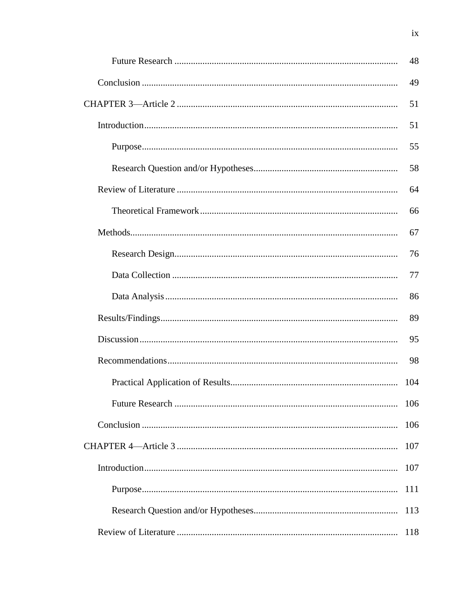| 48  |
|-----|
| 49  |
| 51  |
| 51  |
| 55  |
| 58  |
| 64  |
| 66  |
| 67  |
| 76  |
| 77  |
| 86  |
| 89  |
| 95  |
| 98  |
| 104 |
| 106 |
| 106 |
| 107 |
| 107 |
| 111 |
| 113 |
| 118 |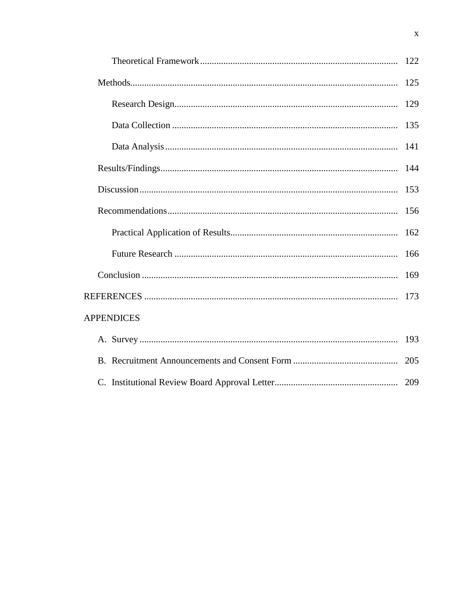|                   | 125 |
|-------------------|-----|
|                   | 129 |
|                   | 135 |
|                   | 141 |
|                   | 144 |
|                   | 153 |
|                   | 156 |
|                   | 162 |
|                   | 166 |
|                   | 169 |
|                   |     |
| <b>APPENDICES</b> |     |
|                   | 193 |
|                   | 205 |
|                   |     |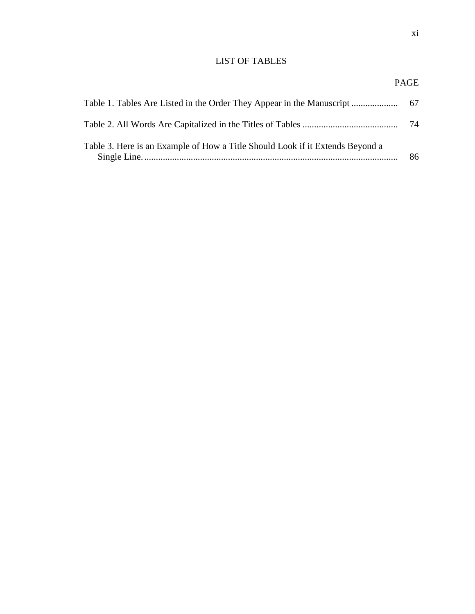## LIST OF TABLES

| Table 1. Tables Are Listed in the Order They Appear in the Manuscript         | -67 |
|-------------------------------------------------------------------------------|-----|
|                                                                               | 74  |
| Table 3. Here is an Example of How a Title Should Look if it Extends Beyond a | 86  |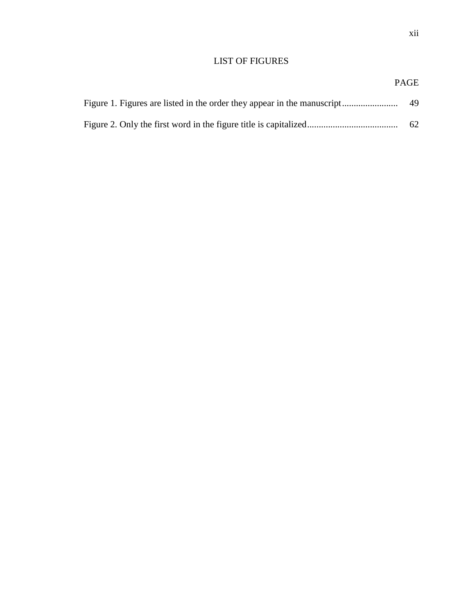# xii

## LIST OF FIGURES

# PAGE Figure 1. Figures are listed in the order they appear in the manuscript........................ 49 Figure 2. Only the first word in the figure title is capitalized....................................... 62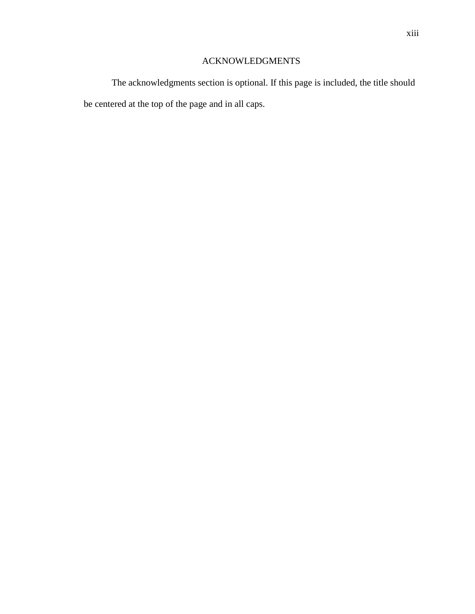# ACKNOWLEDGMENTS

The acknowledgments section is optional. If this page is included, the title should be centered at the top of the page and in all caps.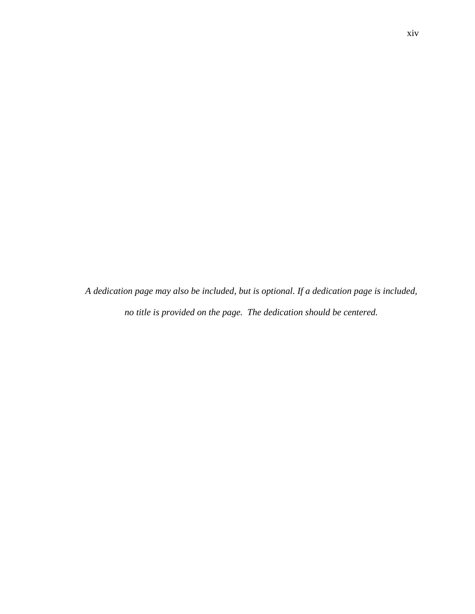*A dedication page may also be included, but is optional. If a dedication page is included, no title is provided on the page. The dedication should be centered.*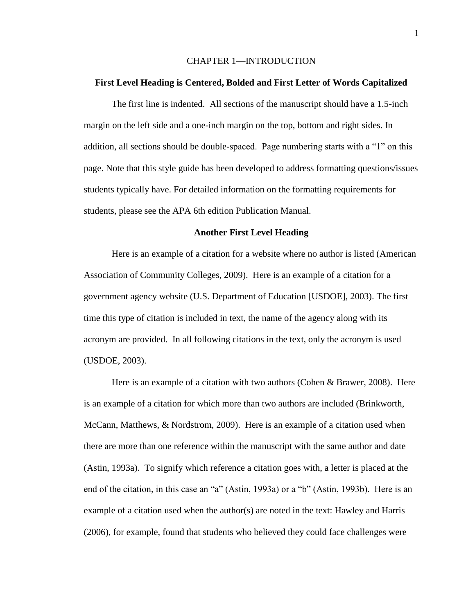### CHAPTER 1—INTRODUCTION

#### **First Level Heading is Centered, Bolded and First Letter of Words Capitalized**

The first line is indented. All sections of the manuscript should have a 1.5-inch margin on the left side and a one-inch margin on the top, bottom and right sides. In addition, all sections should be double-spaced. Page numbering starts with a "1" on this page. Note that this style guide has been developed to address formatting questions/issues students typically have. For detailed information on the formatting requirements for students, please see the APA 6th edition Publication Manual.

### **Another First Level Heading**

Here is an example of a citation for a website where no author is listed (American Association of Community Colleges, 2009). Here is an example of a citation for a government agency website (U.S. Department of Education [USDOE], 2003). The first time this type of citation is included in text, the name of the agency along with its acronym are provided. In all following citations in the text, only the acronym is used (USDOE, 2003).

Here is an example of a citation with two authors (Cohen & Brawer, 2008). Here is an example of a citation for which more than two authors are included (Brinkworth, McCann, Matthews, & Nordstrom, 2009). Here is an example of a citation used when there are more than one reference within the manuscript with the same author and date (Astin, 1993a). To signify which reference a citation goes with, a letter is placed at the end of the citation, in this case an "a" (Astin, 1993a) or a "b" (Astin, 1993b). Here is an example of a citation used when the author(s) are noted in the text: Hawley and Harris (2006), for example, found that students who believed they could face challenges were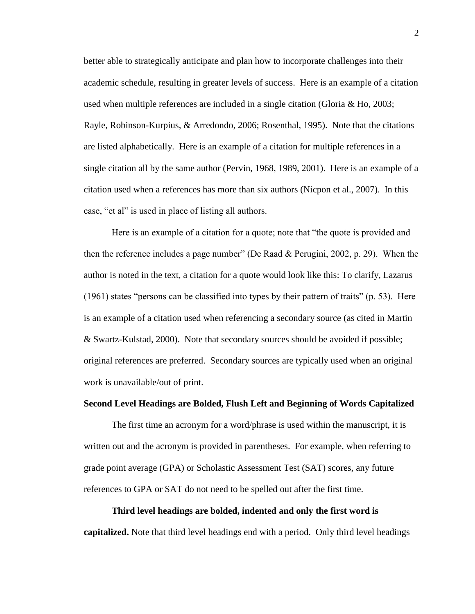better able to strategically anticipate and plan how to incorporate challenges into their academic schedule, resulting in greater levels of success. Here is an example of a citation used when multiple references are included in a single citation (Gloria & Ho, 2003; Rayle, Robinson-Kurpius, & Arredondo, 2006; Rosenthal, 1995). Note that the citations are listed alphabetically. Here is an example of a citation for multiple references in a single citation all by the same author (Pervin, 1968, 1989, 2001). Here is an example of a citation used when a references has more than six authors (Nicpon et al., 2007). In this case, "et al" is used in place of listing all authors.

Here is an example of a citation for a quote; note that "the quote is provided and then the reference includes a page number" (De Raad & Perugini, 2002, p. 29). When the author is noted in the text, a citation for a quote would look like this: To clarify, Lazarus (1961) states "persons can be classified into types by their pattern of traits" (p. 53). Here is an example of a citation used when referencing a secondary source (as cited in Martin & Swartz-Kulstad, 2000). Note that secondary sources should be avoided if possible; original references are preferred. Secondary sources are typically used when an original work is unavailable/out of print.

### **Second Level Headings are Bolded, Flush Left and Beginning of Words Capitalized**

The first time an acronym for a word/phrase is used within the manuscript, it is written out and the acronym is provided in parentheses. For example, when referring to grade point average (GPA) or Scholastic Assessment Test (SAT) scores, any future references to GPA or SAT do not need to be spelled out after the first time.

# **Third level headings are bolded, indented and only the first word is capitalized.** Note that third level headings end with a period. Only third level headings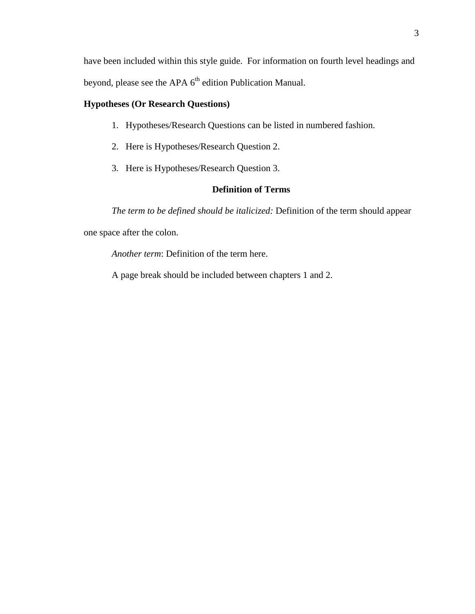have been included within this style guide. For information on fourth level headings and beyond, please see the APA 6<sup>th</sup> edition Publication Manual.

# **Hypotheses (Or Research Questions)**

- 1. Hypotheses/Research Questions can be listed in numbered fashion.
- 2. Here is Hypotheses/Research Question 2.
- 3. Here is Hypotheses/Research Question 3.

## **Definition of Terms**

*The term to be defined should be italicized:* Definition of the term should appear one space after the colon.

*Another term*: Definition of the term here.

A page break should be included between chapters 1 and 2.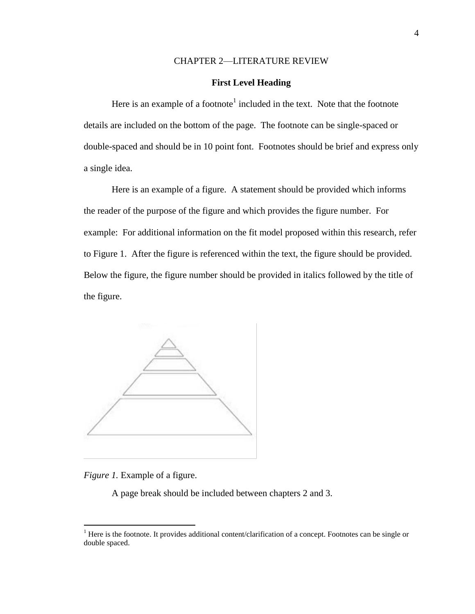### CHAPTER 2—LITERATURE REVIEW

## **First Level Heading**

Here is an example of a footnote<sup>1</sup> included in the text. Note that the footnote details are included on the bottom of the page. The footnote can be single-spaced or double-spaced and should be in 10 point font. Footnotes should be brief and express only a single idea.

Here is an example of a figure. A statement should be provided which informs the reader of the purpose of the figure and which provides the figure number. For example: For additional information on the fit model proposed within this research, refer to Figure 1. After the figure is referenced within the text, the figure should be provided. Below the figure, the figure number should be provided in italics followed by the title of the figure.



*Figure 1.* Example of a figure.

 $\overline{a}$ 

A page break should be included between chapters 2 and 3.

 $<sup>1</sup>$  Here is the footnote. It provides additional content/clarification of a concept. Footnotes can be single or</sup> double spaced.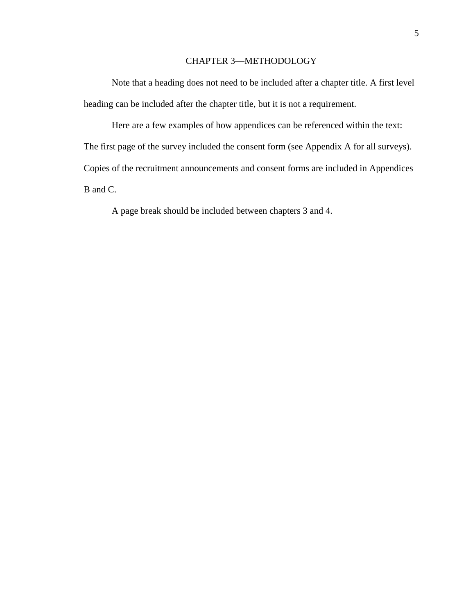## CHAPTER 3—METHODOLOGY

Note that a heading does not need to be included after a chapter title. A first level heading can be included after the chapter title, but it is not a requirement.

Here are a few examples of how appendices can be referenced within the text: The first page of the survey included the consent form (see Appendix A for all surveys). Copies of the recruitment announcements and consent forms are included in Appendices B and C.

A page break should be included between chapters 3 and 4.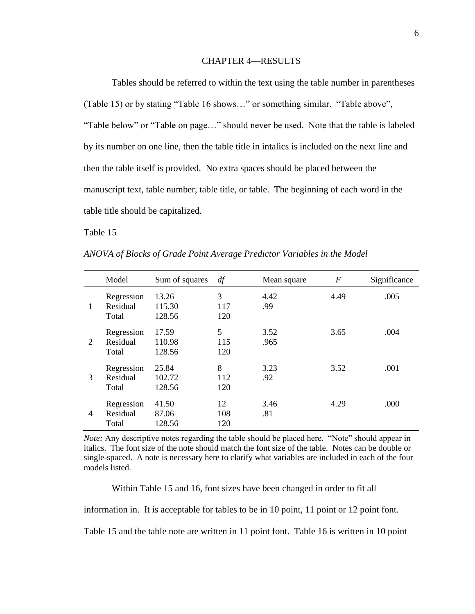### CHAPTER 4—RESULTS

Tables should be referred to within the text using the table number in parentheses (Table 15) or by stating "Table 16 shows…" or something similar. "Table above", "Table below" or "Table on page…" should never be used. Note that the table is labeled by its number on one line, then the table title in intalics is included on the next line and then the table itself is provided. No extra spaces should be placed between the manuscript text, table number, table title, or table. The beginning of each word in the table title should be capitalized.

Table 15

|   | Model                           | Sum of squares            | df               | Mean square  | $\boldsymbol{F}$ | Significance |
|---|---------------------------------|---------------------------|------------------|--------------|------------------|--------------|
| 1 | Regression<br>Residual<br>Total | 13.26<br>115.30<br>128.56 | 3<br>117<br>120  | 4.42<br>.99  | 4.49             | .005         |
| 2 | Regression<br>Residual<br>Total | 17.59<br>110.98<br>128.56 | 5<br>115<br>120  | 3.52<br>.965 | 3.65             | .004         |
| 3 | Regression<br>Residual<br>Total | 25.84<br>102.72<br>128.56 | 8<br>112<br>120  | 3.23<br>.92  | 3.52             | .001         |
| 4 | Regression<br>Residual<br>Total | 41.50<br>87.06<br>128.56  | 12<br>108<br>120 | 3.46<br>.81  | 4.29             | .000         |

*ANOVA of Blocks of Grade Point Average Predictor Variables in the Model*

*Note:* Any descriptive notes regarding the table should be placed here. "Note" should appear in italics. The font size of the note should match the font size of the table. Notes can be double or single-spaced. A note is necessary here to clarify what variables are included in each of the four models listed.

Within Table 15 and 16, font sizes have been changed in order to fit all

information in. It is acceptable for tables to be in 10 point, 11 point or 12 point font.

Table 15 and the table note are written in 11 point font. Table 16 is written in 10 point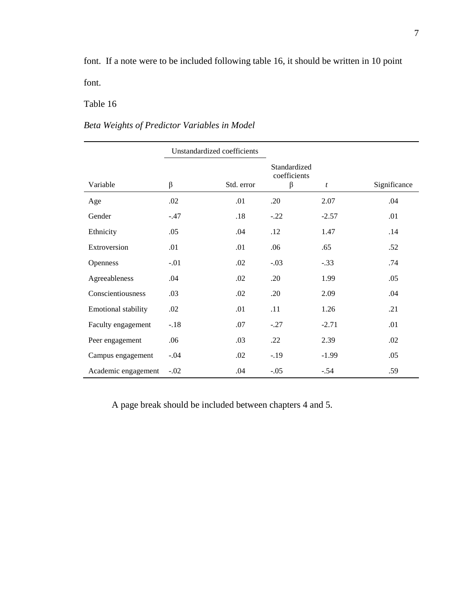font. If a note were to be included following table 16, it should be written in 10 point font.

## Table 16

# *Beta Weights of Predictor Variables in Model*

|                            | Unstandardized coefficients |            |                                         |         |              |
|----------------------------|-----------------------------|------------|-----------------------------------------|---------|--------------|
| Variable                   | $\beta$                     | Std. error | Standardized<br>coefficients<br>$\beta$ | t       | Significance |
| Age                        | .02                         | .01        | .20                                     | 2.07    | .04          |
| Gender                     | $-.47$                      | .18        | $-.22$                                  | $-2.57$ | .01          |
| Ethnicity                  | .05                         | .04        | .12                                     | 1.47    | .14          |
| Extroversion               | .01                         | .01        | .06                                     | .65     | .52          |
| Openness                   | $-.01$                      | .02        | $-.03$                                  | $-.33$  | .74          |
| Agreeableness              | .04                         | .02        | .20                                     | 1.99    | .05          |
| Conscientiousness          | .03                         | .02        | .20                                     | 2.09    | .04          |
| <b>Emotional stability</b> | .02                         | .01        | .11                                     | 1.26    | .21          |
| Faculty engagement         | $-.18$                      | .07        | $-.27$                                  | $-2.71$ | .01          |
| Peer engagement            | .06                         | .03        | .22                                     | 2.39    | .02          |
| Campus engagement          | $-.04$                      | .02        | $-.19$                                  | $-1.99$ | .05          |
| Academic engagement        | $-.02$                      | .04        | $-.05$                                  | $-.54$  | .59          |

A page break should be included between chapters 4 and 5.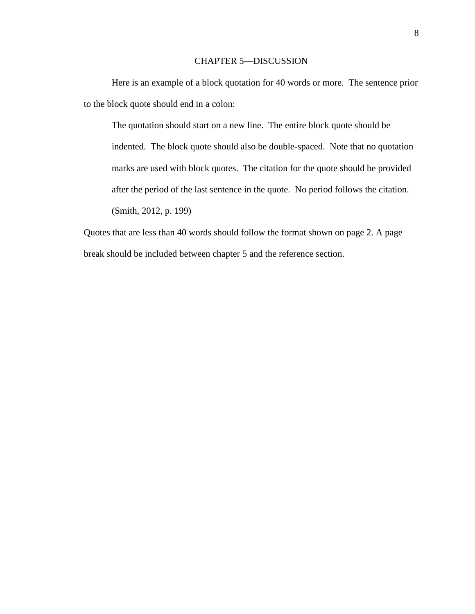### CHAPTER 5—DISCUSSION

Here is an example of a block quotation for 40 words or more. The sentence prior to the block quote should end in a colon:

The quotation should start on a new line. The entire block quote should be indented. The block quote should also be double-spaced. Note that no quotation marks are used with block quotes. The citation for the quote should be provided after the period of the last sentence in the quote. No period follows the citation. (Smith, 2012, p. 199)

Quotes that are less than 40 words should follow the format shown on page 2. A page break should be included between chapter 5 and the reference section.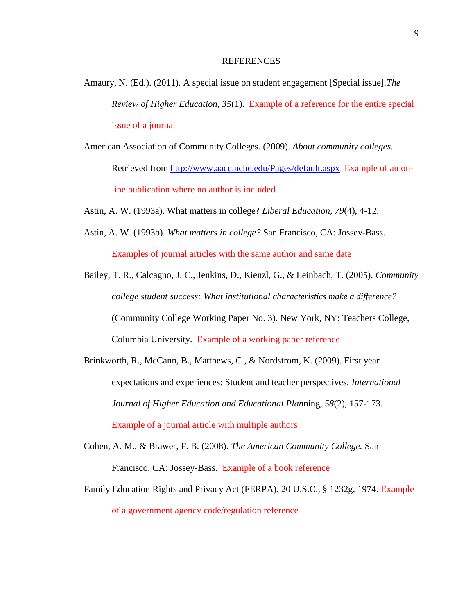#### REFERENCES

- Amaury, N. (Ed.). (2011). A special issue on student engagement [Special issue].*The Review of Higher Education, 35*(1). Example of a reference for the entire special issue of a journal
- American Association of Community Colleges. (2009). *About community colleges.* Retrieved from<http://www.aacc.nche.edu/Pages/default.aspx>Example of an online publication where no author is included
- Astin, A. W. (1993a). What matters in college? *Liberal Education, 79*(4), 4-12.
- Astin, A. W. (1993b). *What matters in college?* San Francisco, CA: Jossey-Bass. Examples of journal articles with the same author and same date
- Bailey, T. R., Calcagno, J. C., Jenkins, D., Kienzl, G., & Leinbach, T. (2005). *Community college student success: What institutional characteristics make a difference?*  (Community College Working Paper No. 3). New York, NY: Teachers College, Columbia University. Example of a working paper reference
- Brinkworth, R., McCann, B., Matthews, C., & Nordstrom, K. (2009). First year expectations and experiences: Student and teacher perspectives. *International Journal of Higher Education and Educational Plan*ning, *58*(2), 157-173. Example of a journal article with multiple authors
- Cohen, A. M., & Brawer, F. B. (2008). *The American Community College.* San Francisco, CA: Jossey-Bass. Example of a book reference
- Family Education Rights and Privacy Act (FERPA), 20 U.S.C., § 1232g, 1974. Example of a government agency code/regulation reference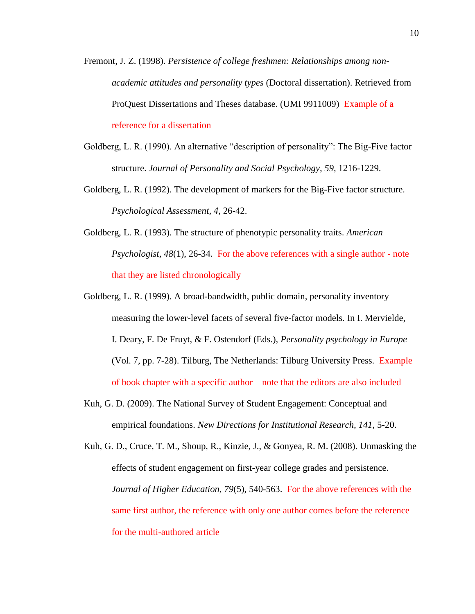- Fremont, J. Z. (1998). *Persistence of college freshmen: Relationships among nonacademic attitudes and personality types* (Doctoral dissertation). Retrieved from ProQuest Dissertations and Theses database. (UMI 9911009) Example of a reference for a dissertation
- Goldberg, L. R. (1990). An alternative "description of personality": The Big-Five factor structure. *Journal of Personality and Social Psychology, 59,* 1216-1229.
- Goldberg, L. R. (1992). The development of markers for the Big-Five factor structure. *Psychological Assessment, 4,* 26-42.
- Goldberg, L. R. (1993). The structure of phenotypic personality traits. *American Psychologist, 48*(1), 26-34. For the above references with a single author - note that they are listed chronologically
- Goldberg, L. R. (1999). A broad-bandwidth, public domain, personality inventory measuring the lower-level facets of several five-factor models. In I. Mervielde, I. Deary, F. De Fruyt, & F. Ostendorf (Eds.), *Personality psychology in Europe* (Vol. 7, pp. 7-28). Tilburg, The Netherlands: Tilburg University Press. Example of book chapter with a specific author – note that the editors are also included
- Kuh, G. D. (2009). The National Survey of Student Engagement: Conceptual and empirical foundations. *New Directions for Institutional Research, 141,* 5-20.
- Kuh, G. D., Cruce, T. M., Shoup, R., Kinzie, J., & Gonyea, R. M. (2008). Unmasking the effects of student engagement on first-year college grades and persistence. *Journal of Higher Education, 79(5), 540-563. For the above references with the* same first author, the reference with only one author comes before the reference for the multi-authored article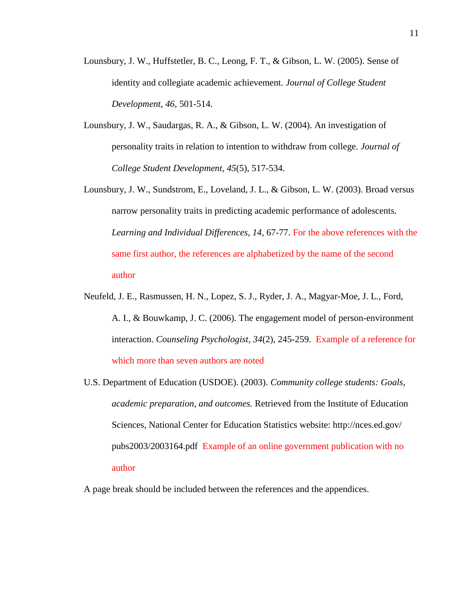- Lounsbury, J. W., Huffstetler, B. C., Leong, F. T., & Gibson, L. W. (2005). Sense of identity and collegiate academic achievement. *Journal of College Student Development, 46,* 501-514.
- Lounsbury, J. W., Saudargas, R. A., & Gibson, L. W. (2004). An investigation of personality traits in relation to intention to withdraw from college. *Journal of College Student Development, 45*(5), 517-534.
- Lounsbury, J. W., Sundstrom, E., Loveland, J. L., & Gibson, L. W. (2003). Broad versus narrow personality traits in predicting academic performance of adolescents. *Learning and Individual Differences, 14,* 67-77. For the above references with the same first author, the references are alphabetized by the name of the second author
- Neufeld, J. E., Rasmussen, H. N., Lopez, S. J., Ryder, J. A., Magyar-Moe, J. L., Ford, A. I., & Bouwkamp, J. C. (2006). The engagement model of person-environment interaction. *Counseling Psychologist, 34*(2), 245-259. Example of a reference for which more than seven authors are noted
- U.S. Department of Education (USDOE). (2003). *Community college students: Goals, academic preparation, and outcomes.* Retrieved from the Institute of Education Sciences, National Center for Education Statistics website: http://nces.ed.gov/ pubs2003/2003164.pdf Example of an online government publication with no author

A page break should be included between the references and the appendices.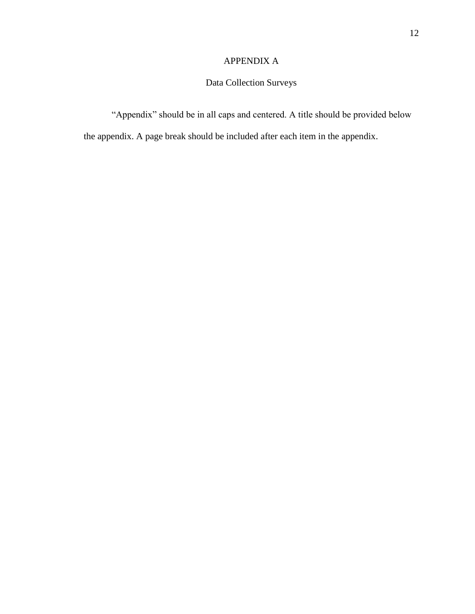## APPENDIX A

# Data Collection Surveys

"Appendix" should be in all caps and centered. A title should be provided below

the appendix. A page break should be included after each item in the appendix.